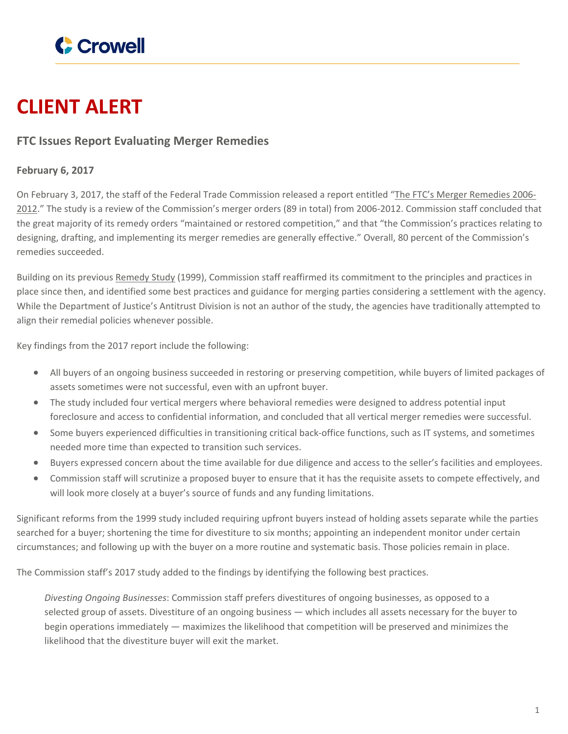

# **CLIENT ALERT**

## **FTC Issues Report Evaluating Merger Remedies**

## **February 6, 2017**

On February 3, 2017, the staff of the Federal Trade Commission released a report entitled "The FTC's Merger [Remedies](https://www.ftc.gov/system/files/documents/reports/ftcs-merger-remedies-2006-2012-report-bureaus-competition-economics/p143100_ftc_merger_remedies_2006-2012.pdf) 2006- [2012](https://www.ftc.gov/system/files/documents/reports/ftcs-merger-remedies-2006-2012-report-bureaus-competition-economics/p143100_ftc_merger_remedies_2006-2012.pdf)." The study is a review of the Commission's merger orders (89 in total) from 2006-2012. Commission staff concluded that the great majority of its remedy orders "maintained or restored competition," and that "the Commission's practices relating to designing, drafting, and implementing its merger remedies are generally effective." Overall, 80 percent of the Commission's remedies succeeded.

Building on its previous [Remedy](https://www.ftc.gov/sites/default/files/attachments/merger-review/divestiture.pdf) Study (1999), Commission staff reaffirmed its commitment to the principles and practices in place since then, and identified some best practices and guidance for merging parties considering a settlement with the agency. While the Department of Justice's Antitrust Division is not an author of the study, the agencies have traditionally attempted to align their remedial policies whenever possible.

Key findings from the 2017 report include the following:

- All buyers of an ongoing business succeeded in restoring or preserving competition, while buyers of limited packages of assets sometimes were not successful, even with an upfront buyer.
- The study included four vertical mergers where behavioral remedies were designed to address potential input foreclosure and access to confidential information, and concluded that all vertical merger remedies were successful.
- Some buyers experienced difficulties in transitioning critical back-office functions, such as IT systems, and sometimes needed more time than expected to transition such services.
- Buyers expressed concern about the time available for due diligence and access to the seller's facilities and employees.
- Commission staff will scrutinize a proposed buyer to ensure that it has the requisite assets to compete effectively, and will look more closely at a buyer's source of funds and any funding limitations.

Significant reforms from the 1999 study included requiring upfront buyers instead of holding assets separate while the parties searched for a buyer; shortening the time for divestiture to six months; appointing an independent monitor under certain circumstances; and following up with the buyer on a more routine and systematic basis. Those policies remain in place.

The Commission staff's 2017 study added to the findings by identifying the following best practices.

*Divesting Ongoing Businesses*: Commission staff prefers divestitures of ongoing businesses, as opposed to a selected group of assets. Divestiture of an ongoing business — which includes all assets necessary for the buyer to begin operations immediately — maximizes the likelihood that competition will be preserved and minimizes the likelihood that the divestiture buyer will exit the market.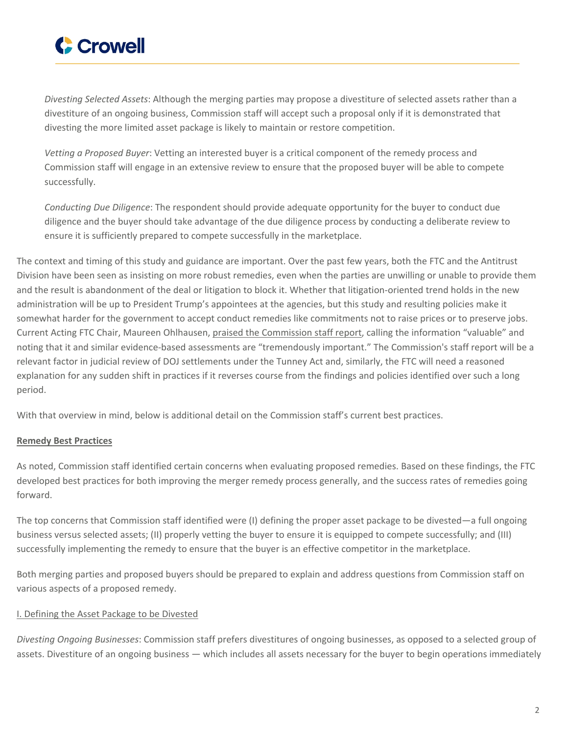

*Divesting Selected Assets*: Although the merging parties may propose a divestiture of selected assets rather than a divestiture of an ongoing business, Commission staff will accept such a proposal only if it is demonstrated that divesting the more limited asset package is likely to maintain or restore competition.

*Vetting a Proposed Buyer*: Vetting an interested buyer is a critical component of the remedy process and Commission staff will engage in an extensive review to ensure that the proposed buyer will be able to compete successfully.

*Conducting Due Diligence*: The respondent should provide adequate opportunity for the buyer to conduct due diligence and the buyer should take advantage of the due diligence process by conducting a deliberate review to ensure it is sufficiently prepared to compete successfully in the marketplace.

The context and timing of this study and guidance are important. Over the past few years, both the FTC and the Antitrust Division have been seen as insisting on more robust remedies, even when the parties are unwilling or unable to provide them and the result is abandonment of the deal or litigation to block it. Whether that litigation-oriented trend holds in the new administration will be up to President Trump's appointees at the agencies, but this study and resulting policies make it somewhat harder for the government to accept conduct remedies like commitments not to raise prices or to preserve jobs. Current Acting FTC Chair, Maureen Ohlhausen, praised the [Commission](https://www.ftc.gov/system/files/documents/public_statements/1070123/gcr_the-ftc_path_ahead.pdf) staff report, calling the information "valuable" and noting that it and similar evidence-based assessments are "tremendously important." The Commission's staff report will be a relevant factor in judicial review of DOJ settlements under the Tunney Act and, similarly, the FTC will need a reasoned explanation for any sudden shift in practices if it reverses course from the findings and policies identified over such a long period.

With that overview in mind, below is additional detail on the Commission staff's current best practices.

## **Remedy Best Practices**

As noted, Commission staff identified certain concerns when evaluating proposed remedies. Based on these findings, the FTC developed best practices for both improving the merger remedy process generally, and the success rates of remedies going forward.

The top concerns that Commission staff identified were (I) defining the proper asset package to be divested—a full ongoing business versus selected assets; (II) properly vetting the buyer to ensure it is equipped to compete successfully; and (III) successfully implementing the remedy to ensure that the buyer is an effective competitor in the marketplace.

Both merging parties and proposed buyers should be prepared to explain and address questions from Commission staff on various aspects of a proposed remedy.

#### I. Defining the Asset Package to be Divested

*Divesting Ongoing Businesses*: Commission staff prefers divestitures of ongoing businesses, as opposed to a selected group of assets. Divestiture of an ongoing business — which includes all assets necessary for the buyer to begin operations immediately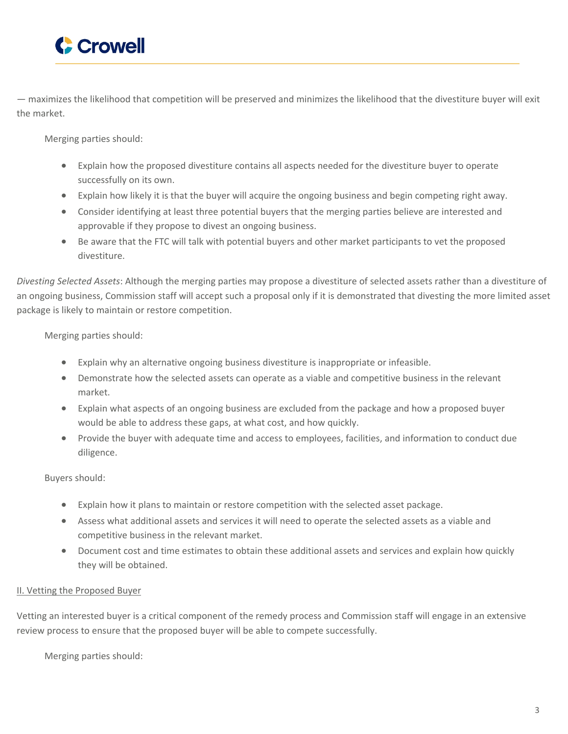

— maximizes the likelihood that competition will be preserved and minimizes the likelihood that the divestiture buyer will exit the market.

Merging parties should:

- Explain how the proposed divestiture contains all aspects needed for the divestiture buyer to operate successfully on its own.
- Explain how likely it is that the buyer will acquire the ongoing business and begin competing right away.
- Consider identifying at least three potential buyers that the merging parties believe are interested and approvable if they propose to divest an ongoing business.
- Be aware that the FTC will talk with potential buyers and other market participants to vet the proposed divestiture.

*Divesting Selected Assets*: Although the merging parties may propose a divestiture of selected assets rather than a divestiture of an ongoing business, Commission staff will accept such a proposal only if it is demonstrated that divesting the more limited asset package is likely to maintain or restore competition.

Merging parties should:

- Explain why an alternative ongoing business divestiture is inappropriate or infeasible.
- Demonstrate how the selected assets can operate as a viable and competitive business in the relevant market.
- Explain what aspects of an ongoing business are excluded from the package and how a proposed buyer would be able to address these gaps, at what cost, and how quickly.
- Provide the buyer with adequate time and access to employees, facilities, and information to conduct due diligence.

Buyers should:

- Explain how it plans to maintain or restore competition with the selected asset package.
- Assess what additional assets and services it will need to operate the selected assets as a viable and competitive business in the relevant market.
- Document cost and time estimates to obtain these additional assets and services and explain how quickly they will be obtained.

## II. Vetting the Proposed Buyer

Vetting an interested buyer is a critical component of the remedy process and Commission staff will engage in an extensive review process to ensure that the proposed buyer will be able to compete successfully.

Merging parties should: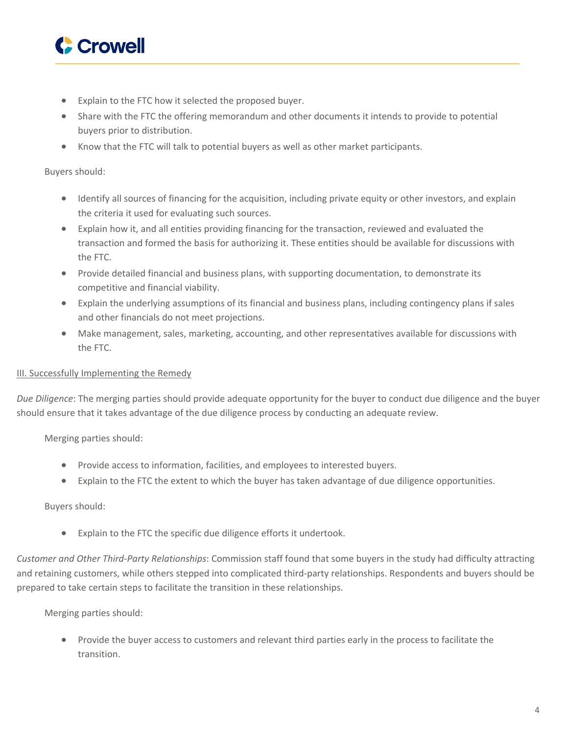

- Explain to the FTC how it selected the proposed buyer.
- Share with the FTC the offering memorandum and other documents it intends to provide to potential buyers prior to distribution.
- Know that the FTC will talk to potential buyers as well as other market participants.

#### Buyers should:

- Identify all sources of financing for the acquisition, including private equity or other investors, and explain the criteria it used for evaluating such sources.
- Explain how it, and all entities providing financing for the transaction, reviewed and evaluated the transaction and formed the basis for authorizing it. These entities should be available for discussions with the FTC.
- Provide detailed financial and business plans, with supporting documentation, to demonstrate its competitive and financial viability.
- Explain the underlying assumptions of its financial and business plans, including contingency plans if sales and other financials do not meet projections.
- Make management, sales, marketing, accounting, and other representatives available for discussions with the FTC.

#### III. Successfully Implementing the Remedy

*Due Diligence*: The merging parties should provide adequate opportunity for the buyer to conduct due diligence and the buyer should ensure that it takes advantage of the due diligence process by conducting an adequate review.

Merging parties should:

- Provide access to information, facilities, and employees to interested buyers.
- Explain to the FTC the extent to which the buyer has taken advantage of due diligence opportunities.

#### Buyers should:

Explain to the FTC the specific due diligence efforts it undertook.

*Customer and Other Third-Party Relationships*: Commission staff found that some buyers in the study had difficulty attracting and retaining customers, while others stepped into complicated third-party relationships. Respondents and buyers should be prepared to take certain steps to facilitate the transition in these relationships.

#### Merging parties should:

• Provide the buyer access to customers and relevant third parties early in the process to facilitate the transition.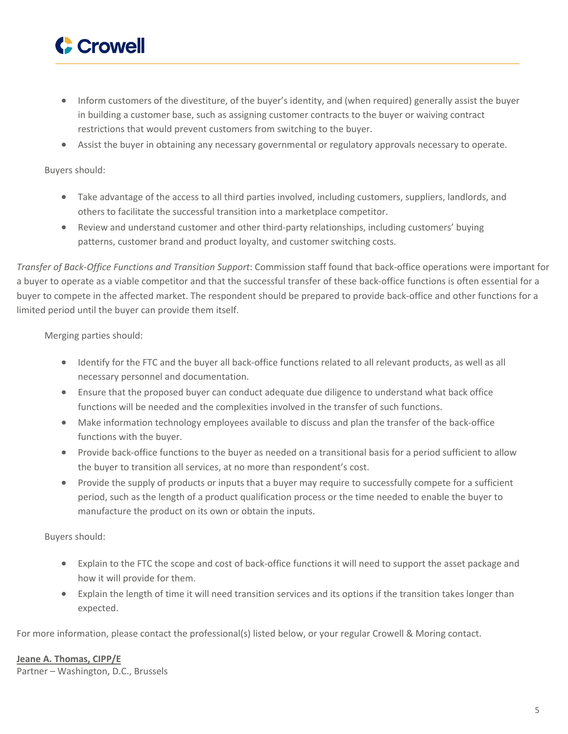

- Inform customers of the divestiture, of the buyer's identity, and (when required) generally assist the buyer in building a customer base, such as assigning customer contracts to the buyer or waiving contract restrictions that would prevent customers from switching to the buyer.
- Assist the buyer in obtaining any necessary governmental or regulatory approvals necessary to operate.

#### Buyers should:

- Take advantage of the access to all third parties involved, including customers, suppliers, landlords, and others to facilitate the successful transition into a marketplace competitor.
- Review and understand customer and other third-party relationships, including customers' buying patterns, customer brand and product loyalty, and customer switching costs.

*Transfer of Back-Office Functions and Transition Support*: Commission staff found that back-office operations were important for a buyer to operate as a viable competitor and that the successful transfer of these back-office functions is often essential for a buyer to compete in the affected market. The respondent should be prepared to provide back-office and other functions for a limited period until the buyer can provide them itself.

Merging parties should:

- Identify for the FTC and the buyer all back-office functions related to all relevant products, as well as all necessary personnel and documentation.
- Ensure that the proposed buyer can conduct adequate due diligence to understand what back office functions will be needed and the complexities involved in the transfer of such functions.
- Make information technology employees available to discuss and plan the transfer of the back-office functions with the buyer.
- Provide back-office functions to the buyer as needed on a transitional basis for a period sufficient to allow the buyer to transition all services, at no more than respondent's cost.
- Provide the supply of products or inputs that a buyer may require to successfully compete for a sufficient period, such as the length of a product qualification process or the time needed to enable the buyer to manufacture the product on its own or obtain the inputs.

Buyers should:

- Explain to the FTC the scope and cost of back-office functions it will need to support the asset package and how it will provide for them.
- Explain the length of time it will need transition services and its options if the transition takes longer than expected.

For more information, please contact the professional(s) listed below, or your regular Crowell & Moring contact.

## **Jeane A. [Thomas,](https://www.crowell.com/professionals/Jeane-Thomas) CIPP/E**

Partner – Washington, D.C., Brussels